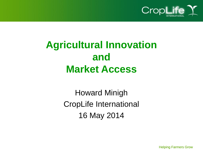

## **Agricultural Innovation and Market Access**

Howard Minigh CropLife International 16 May 2014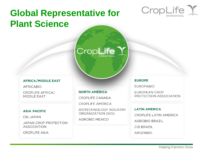## **Global Representative for Plant Science**



#### **AFRICA/MIDDLE EAST**

**AFRICABIO** 

**CROPLIFE AFRICA/** MIDDLE EAST

#### **ASIA PACIFIC**

**CBI JAPAN** 

**JAPAN CROP PROTECTION ASSOCIATION** 

**CROPLIFE ASIA** 

#### **NORTH AMERICA**

CROPLIFE CANADA

CropLife<sup>7</sup>

CROPLIFE AMERICA

**BIOTECHNOLOGY INDUSTRY** ORGANIZATION (BIO)

**AGROBIO MEXICO** 

#### **EUROPE**

**EUROPABIO** 

**EUROPEAN CROP** PROTECTION ASSOCIATION

#### **LATIN AMERICA**

CROPLIFE LATIN AMERICA

**AGROBIO BRAZIL** 

**CIB BRAZIL** 

**ARGENBIO**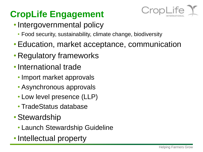## **CropLife Engagement**



- Intergovernmental policy
	- Food security, sustainability, climate change, biodiversity
- •Education, market acceptance, communication
- Regulatory frameworks
- •International trade
	- Import market approvals
	- Asynchronous approvals
	- Low level presence (LLP)
	- TradeStatus database
- Stewardship
	- Launch Stewardship Guideline
- Intellectual property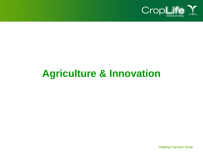

## **Agriculture & Innovation**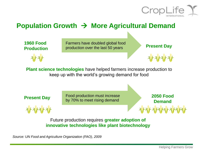

#### **Population Growth → More Agricultural Demand**





**Plant science technologies** have helped farmers increase production to keep up with the world's growing demand for food

Food production must increase **Present Day** Food production must increase **2050 Food**<br>by 70% to meet rising demand

**Demand**

Future production requires **greater adoption of innovative technologies like plant biotechnology**

*Source: UN Food and Agriculture Organization (FAO), 2009*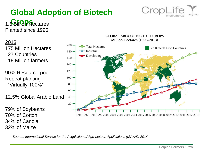#### Helping Farmers Grow

**Global Adoption of Biotech**  1.6 Bli<sup>n</sup>**P** Hectares

Planted since 1996



**GLOBAL AREA OF BIOTECH CROPS** Million Hectares (1996-2013)

*Source: International Service for the Acquisition of Agri-biotech Applications (ISAAA), 2014*

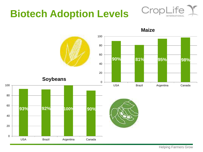## **Biotech Adoption Levels**



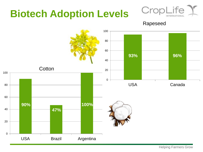## **Biotech Adoption Levels**



Rapeseed

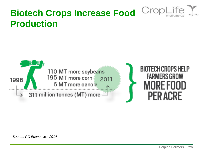# Crop

### **Biotech Crops Increase Food Production**



*Source: PG Economics, 2014*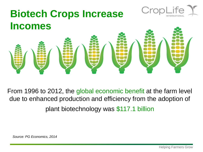

From 1996 to 2012, the global economic benefit at the farm level due to enhanced production and efficiency from the adoption of plant biotechnology was \$117.1 billion

*Source: PG Economics, 2014*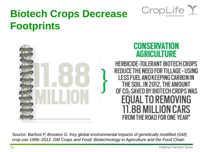

## **Biotech Crops Decrease Footprints**



*Source: Barfoot P, Brookes G. Key global environmental impacts of genetically modified (GM) crop use 1996–2012. GM Crops and Food: Biotechnology in Agriculture and the Food Chain*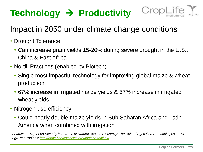## **Technology → Productivity**



#### Impact in 2050 under climate change conditions

- Drought Tolerance
	- Can increase grain yields 15-20% during severe drought in the U.S., China & East Africa
- No-till Practices (enabled by Biotech)
	- Single most impactful technology for improving global maize & wheat production
	- 67% increase in irrigated maize yields & 57% increase in irrigated wheat yields
- Nitrogen-use efficiency
	- Could nearly double maize yields in Sub Saharan Africa and Latin America when combined with irrigation

*Source: IFPRI, Food Security in a World of Natural Resource Scarcity: The Role of Agricultural Technologies, 2014 AgriTech Toolbox:<http://apps.harvestchoice.org/agritech-toolbox/>*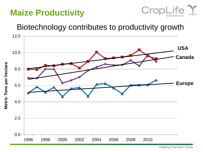#### **Maize Productivity**



#### Biotechnology contributes to productivity growth

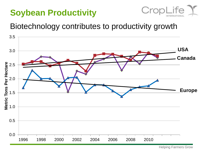#### **Soybean Productivity**



#### Biotechnology contributes to productivity growth



Helping Farmers Grow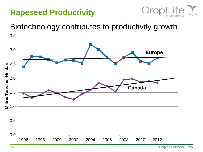#### **Rapeseed Productivity**



#### Biotechnology contributes to productivity growth



Helping Farmers Grow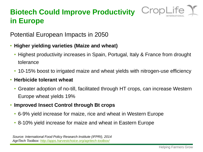#### **Biotech Could Improve Productivity in Europe**



Potential European Impacts in 2050

- **Higher yielding varieties (Maize and wheat)**
	- Highest productivity increases in Spain, Portugal, Italy & France from drought tolerance
	- 10-15% boost to irrigated maize and wheat yields with nitrogen-use efficiency
- **Herbicide tolerant wheat**
	- Greater adoption of no-till, facilitated through HT crops, can increase Western Europe wheat yields 19%
- **Improved Insect Control through Bt crops**
	- 6-9% yield increase for maize, rice and wheat in Western Europe
	- 8-10% yield increase for maize and wheat in Eastern Europe

*Source: International Food Policy Research Institute (IFPRI), 2014 AgriTech Toolbox:<http://apps.harvestchoice.org/agritech-toolbox/>*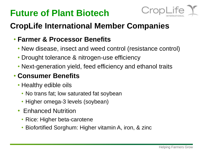### **Future of Plant Biotech**



#### **CropLife International Member Companies**

#### • **Farmer & Processor Benefits**

- New disease, insect and weed control (resistance control)
- Drought tolerance & nitrogen-use efficiency
- Next-generation yield, feed efficiency and ethanol traits

#### • **Consumer Benefits**

- Healthy edible oils
	- No trans fat; low saturated fat soybean
	- Higher omega-3 levels (soybean)
- Enhanced Nutrition
	- Rice: Higher beta-carotene
	- Biofortified Sorghum: Higher vitamin A, iron, & zinc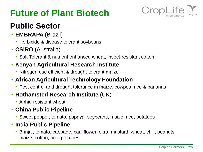### **Future of Plant Biotech**



#### **Public Sector**

- **EMBRAPA** (Brazil)
	- Herbicide & disease tolerant soybeans
- **CSIRO** (Australia)
	- Salt-Tolerant & nutrient enhanced wheat, insect-resistant cotton

#### • **Kenyan Agricultural Research Institute**

• Nitrogen-use efficient & drought-tolerant maize

#### • **African Agricultural Technology Foundation**

• Pest control and drought tolerance in maize, cowpea, rice & bananas

#### • **Rothamsted Research Institute** (UK)

• Aphid-resistant wheat

#### • **China Public Pipeline**

• Sweet pepper, tomato, papaya, soybeans, maize, rice, potatoes

#### • **India Public Pipeline**

• Brinjal, tomato, cabbage, cauliflower, okra, mustard, wheat, chili, peanuts, maize, cotton, rice, potatoes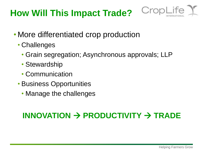### **How Will This Impact Trade?**



- More differentiated crop production
	- Challenges
		- Grain segregation; Asynchronous approvals; LLP
		- Stewardship
		- Communication
	- Business Opportunities
		- Manage the challenges

#### $INNOVATION$   $\rightarrow$   $PRODUCTION$   $\rightarrow$   $TRADE$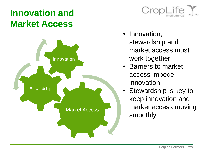### **Innovation and Market Access**





- Innovation, stewardship and market access must work together
- Barriers to market access impede innovation
- Stewardship is key to keep innovation and market access moving smoothly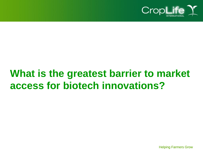

## **What is the greatest barrier to market access for biotech innovations?**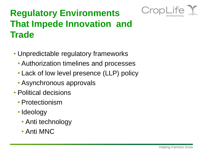

## **Regulatory Environments That Impede Innovation and Trade**

- Unpredictable regulatory frameworks
	- Authorization timelines and processes
	- Lack of low level presence (LLP) policy
	- Asynchronous approvals
- Political decisions
	- Protectionism
	- Ideology
		- Anti technology
		- Anti MNC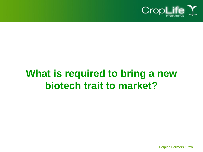

## **What is required to bring a new biotech trait to market?**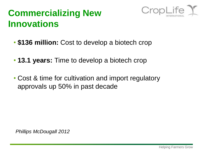#### **Commercializing New Innovations**



- **\$136 million:** Cost to develop a biotech crop
- **13.1 years:** Time to develop a biotech crop
- Cost & time for cultivation and import regulatory approvals up 50% in past decade

*Phillips McDougall 2012*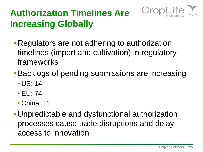

## **Authorization Timelines Are Increasing Globally**

- Regulators are not adhering to authorization timelines (import and cultivation) in regulatory frameworks
- •Backlogs of pending submissions are increasing
	- US: 14
	- EU: 74
	- China: 11
- Unpredictable and dysfunctional authorization processes cause trade disruptions and delay access to innovation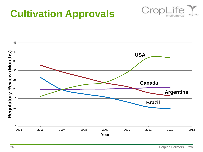## **Cultivation Approvals**



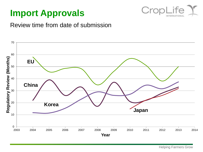#### **Import Approvals**



#### Review time from date of submission

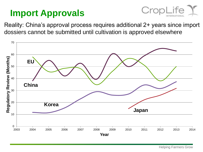#### **Import Approvals**



Reality: China's approval process requires additional 2+ years since import dossiers cannot be submitted until cultivation is approved elsewhere

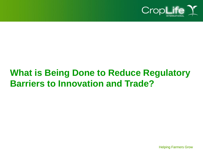

### **What is Being Done to Reduce Regulatory Barriers to Innovation and Trade?**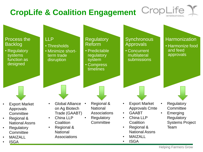## **CropLife & Coalition Engagement**

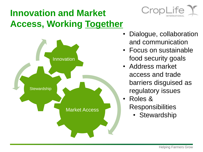## **Innovation and Market Access, Working Together**





- Dialogue, collaboration and communication
- Focus on sustainable food security goals
- Address market access and trade barriers disguised as regulatory issues
- Roles & **Responsibilities** 
	- Stewardship